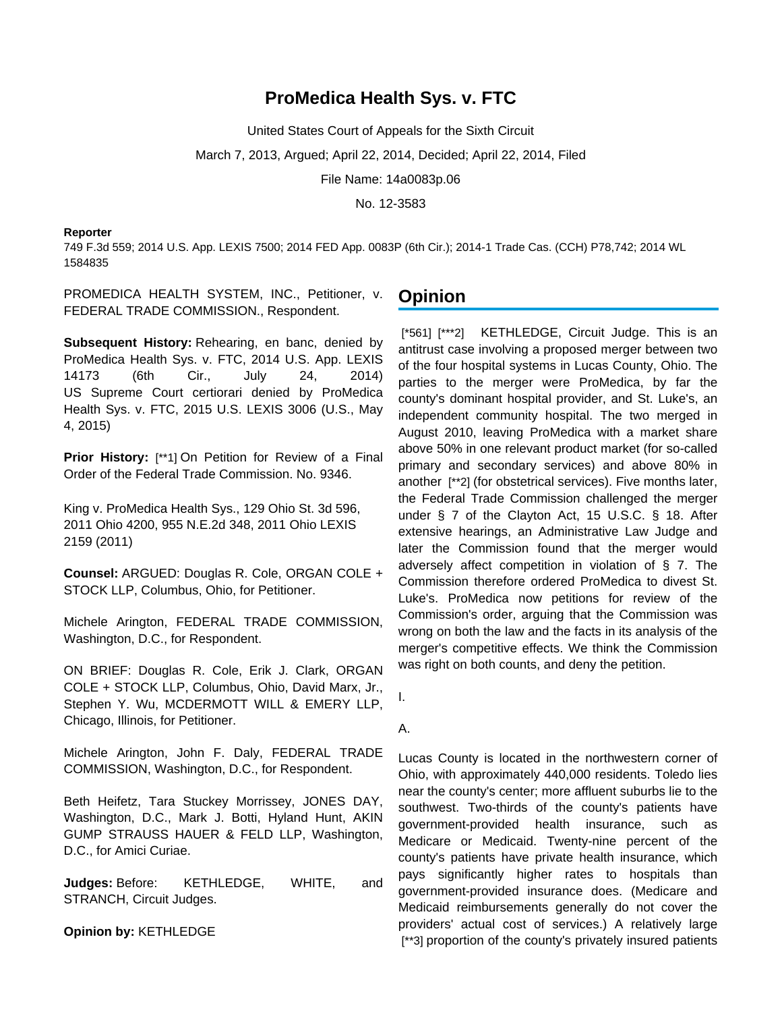# **ProMedica Health Sys. v. FTC**

United States Court of Appeals for the Sixth Circuit

March 7, 2013, Argued; April 22, 2014, Decided; April 22, 2014, Filed

File Name: 14a0083p.06

No. 12-3583

#### **Reporter**

749 F.3d 559; 2014 U.S. App. LEXIS 7500; 2014 FED App. 0083P (6th Cir.); 2014-1 Trade Cas. (CCH) P78,742; 2014 WL 1584835

PROMEDICA HEALTH SYSTEM, INC., Petitioner, v. FEDERAL TRADE COMMISSION., Respondent.

**Subsequent History:** Rehearing, en banc, denied by ProMedica Health Sys. v. FTC, 2014 U.S. App. LEXIS 14173 (6th Cir., July 24, 2014) US Supreme Court certiorari denied by ProMedica Health Sys. v. FTC, 2015 U.S. LEXIS 3006 (U.S., May 4, 2015)

**Prior History:** [\*\*1] On Petition for Review of a Final Order of the Federal Trade Commission. No. 9346.

King v. ProMedica Health Sys., 129 Ohio St. 3d 596, 2011 Ohio 4200, 955 N.E.2d 348, 2011 Ohio LEXIS 2159 (2011)

**Counsel:** ARGUED: Douglas R. Cole, ORGAN COLE + STOCK LLP, Columbus, Ohio, for Petitioner.

Michele Arington, FEDERAL TRADE COMMISSION, Washington, D.C., for Respondent.

ON BRIEF: Douglas R. Cole, Erik J. Clark, ORGAN COLE + STOCK LLP, Columbus, Ohio, David Marx, Jr., Stephen Y. Wu, MCDERMOTT WILL & EMERY LLP, Chicago, Illinois, for Petitioner.

Michele Arington, John F. Daly, FEDERAL TRADE COMMISSION, Washington, D.C., for Respondent.

Beth Heifetz, Tara Stuckey Morrissey, JONES DAY, Washington, D.C., Mark J. Botti, Hyland Hunt, AKIN GUMP STRAUSS HAUER & FELD LLP, Washington, D.C., for Amici Curiae.

**Judges:** Before: KETHLEDGE, WHITE, and STRANCH, Circuit Judges.

**Opinion by:** KETHLEDGE

## **Opinion**

[\*561] [\*\*\*2] KETHLEDGE, Circuit Judge. This is an antitrust case involving a proposed merger between two of the four hospital systems in Lucas County, Ohio. The parties to the merger were ProMedica, by far the county's dominant hospital provider, and St. Luke's, an independent community hospital. The two merged in August 2010, leaving ProMedica with a market share above 50% in one relevant product market (for so-called primary and secondary services) and above 80% in another [\*\*2] (for obstetrical services). Five months later, the Federal Trade Commission challenged the merger under § 7 of the Clayton Act, 15 U.S.C. § 18. After extensive hearings, an Administrative Law Judge and later the Commission found that the merger would adversely affect competition in violation of § 7. The Commission therefore ordered ProMedica to divest St. Luke's. ProMedica now petitions for review of the Commission's order, arguing that the Commission was wrong on both the law and the facts in its analysis of the merger's competitive effects. We think the Commission was right on both counts, and deny the petition.

I.

### A.

Lucas County is located in the northwestern corner of Ohio, with approximately 440,000 residents. Toledo lies near the county's center; more affluent suburbs lie to the southwest. Two-thirds of the county's patients have government-provided health insurance, such as Medicare or Medicaid. Twenty-nine percent of the county's patients have private health insurance, which pays significantly higher rates to hospitals than government-provided insurance does. (Medicare and Medicaid reimbursements generally do not cover the providers' actual cost of services.) A relatively large [\*\*3] proportion of the county's privately insured patients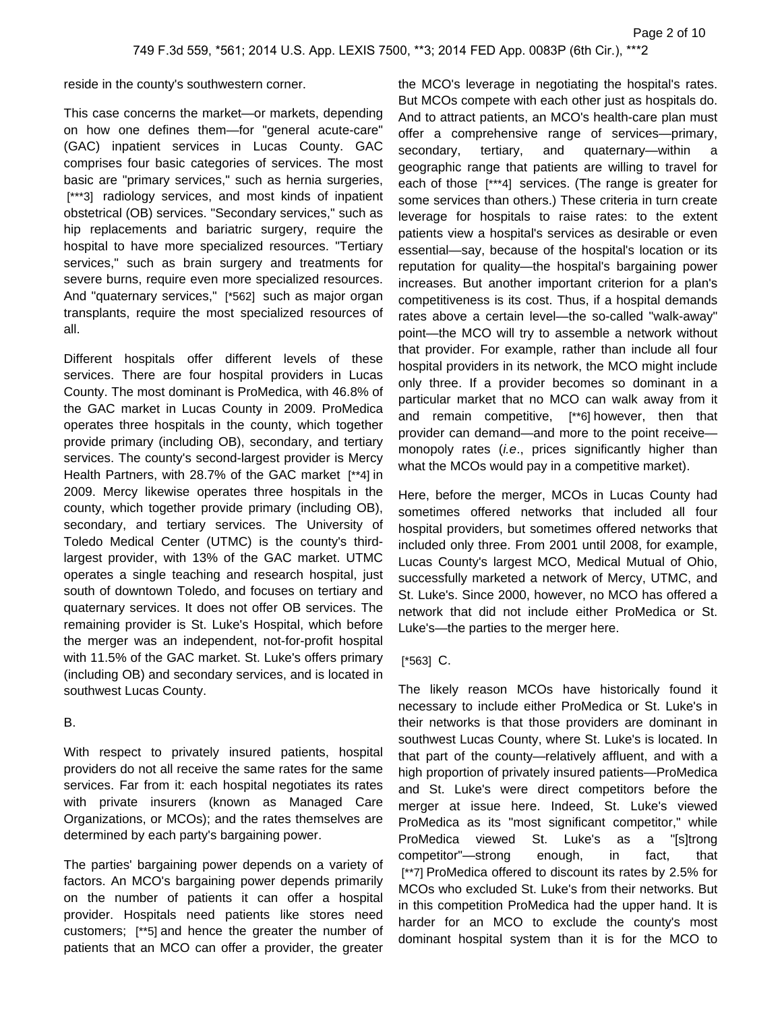reside in the county's southwestern corner.

This case concerns the market—or markets, depending on how one defines them—for "general acute-care" (GAC) inpatient services in Lucas County. GAC comprises four basic categories of services. The most basic are "primary services," such as hernia surgeries, [\*\*\*3] radiology services, and most kinds of inpatient obstetrical (OB) services. "Secondary services," such as hip replacements and bariatric surgery, require the hospital to have more specialized resources. "Tertiary services," such as brain surgery and treatments for severe burns, require even more specialized resources. And "quaternary services," [\*562] such as major organ transplants, require the most specialized resources of all.

Different hospitals offer different levels of these services. There are four hospital providers in Lucas County. The most dominant is ProMedica, with 46.8% of the GAC market in Lucas County in 2009. ProMedica operates three hospitals in the county, which together provide primary (including OB), secondary, and tertiary services. The county's second-largest provider is Mercy Health Partners, with 28.7% of the GAC market [\*\*4] in 2009. Mercy likewise operates three hospitals in the county, which together provide primary (including OB), secondary, and tertiary services. The University of Toledo Medical Center (UTMC) is the county's thirdlargest provider, with 13% of the GAC market. UTMC operates a single teaching and research hospital, just south of downtown Toledo, and focuses on tertiary and quaternary services. It does not offer OB services. The remaining provider is St. Luke's Hospital, which before the merger was an independent, not-for-profit hospital with 11.5% of the GAC market. St. Luke's offers primary (including OB) and secondary services, and is located in southwest Lucas County.

#### B.

With respect to privately insured patients, hospital providers do not all receive the same rates for the same services. Far from it: each hospital negotiates its rates with private insurers (known as Managed Care Organizations, or MCOs); and the rates themselves are determined by each party's bargaining power.

The parties' bargaining power depends on a variety of factors. An MCO's bargaining power depends primarily on the number of patients it can offer a hospital provider. Hospitals need patients like stores need customers; [\*\*5] and hence the greater the number of patients that an MCO can offer a provider, the greater

the MCO's leverage in negotiating the hospital's rates. But MCOs compete with each other just as hospitals do. And to attract patients, an MCO's health-care plan must offer a comprehensive range of services—primary, secondary, tertiary, and quaternary—within geographic range that patients are willing to travel for each of those [\*\*\*4] services. (The range is greater for some services than others.) These criteria in turn create leverage for hospitals to raise rates: to the extent patients view a hospital's services as desirable or even essential—say, because of the hospital's location or its reputation for quality—the hospital's bargaining power increases. But another important criterion for a plan's competitiveness is its cost. Thus, if a hospital demands rates above a certain level—the so-called "walk-away" point—the MCO will try to assemble a network without that provider. For example, rather than include all four hospital providers in its network, the MCO might include only three. If a provider becomes so dominant in a particular market that no MCO can walk away from it and remain competitive, [\*\*6] however, then that provider can demand—and more to the point receive monopoly rates (i.e., prices significantly higher than what the MCOs would pay in a competitive market).

Here, before the merger, MCOs in Lucas County had sometimes offered networks that included all four hospital providers, but sometimes offered networks that included only three. From 2001 until 2008, for example, Lucas County's largest MCO, Medical Mutual of Ohio, successfully marketed a network of Mercy, UTMC, and St. Luke's. Since 2000, however, no MCO has offered a network that did not include either ProMedica or St. Luke's—the parties to the merger here.

### [\*563] C.

The likely reason MCOs have historically found it necessary to include either ProMedica or St. Luke's in their networks is that those providers are dominant in southwest Lucas County, where St. Luke's is located. In that part of the county—relatively affluent, and with a high proportion of privately insured patients—ProMedica and St. Luke's were direct competitors before the merger at issue here. Indeed, St. Luke's viewed ProMedica as its "most significant competitor," while ProMedica viewed St. Luke's as a "[s]trong competitor"—strong enough, in fact, that [\*\*7] ProMedica offered to discount its rates by 2.5% for MCOs who excluded St. Luke's from their networks. But in this competition ProMedica had the upper hand. It is harder for an MCO to exclude the county's most dominant hospital system than it is for the MCO to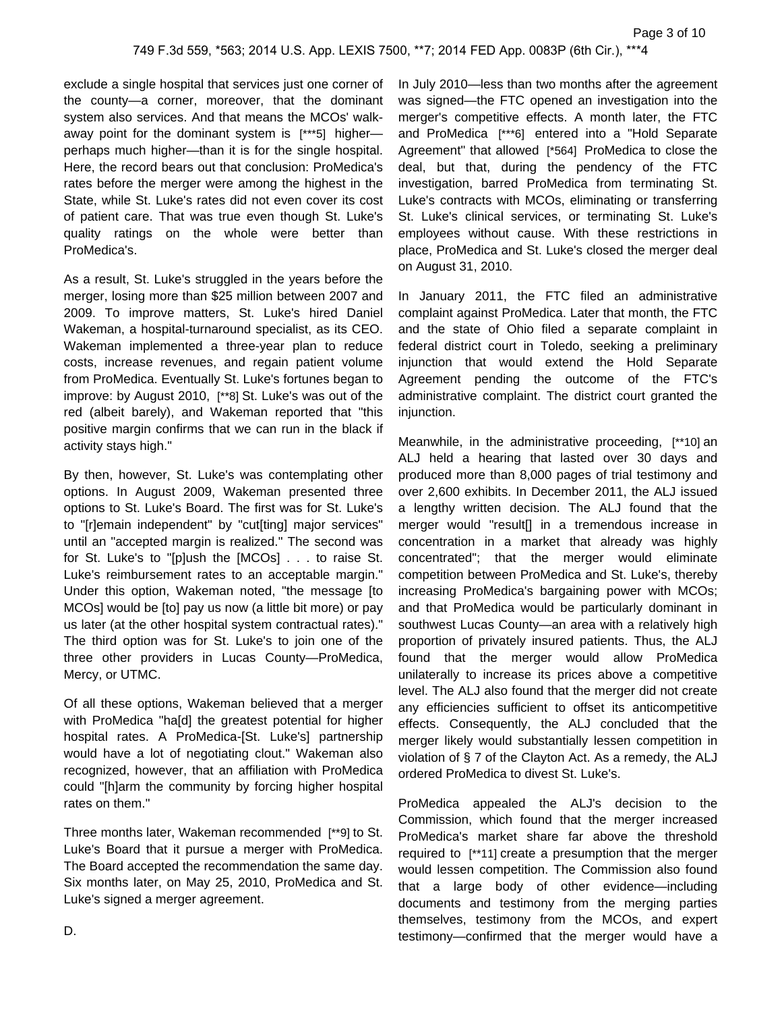exclude a single hospital that services just one corner of the county—a corner, moreover, that the dominant system also services. And that means the MCOs' walkaway point for the dominant system is [\*\*\*5] higher perhaps much higher—than it is for the single hospital. Here, the record bears out that conclusion: ProMedica's rates before the merger were among the highest in the State, while St. Luke's rates did not even cover its cost of patient care. That was true even though St. Luke's quality ratings on the whole were better than ProMedica's.

As a result, St. Luke's struggled in the years before the merger, losing more than \$25 million between 2007 and 2009. To improve matters, St. Luke's hired Daniel Wakeman, a hospital-turnaround specialist, as its CEO. Wakeman implemented a three-year plan to reduce costs, increase revenues, and regain patient volume from ProMedica. Eventually St. Luke's fortunes began to improve: by August 2010, [\*\*8] St. Luke's was out of the red (albeit barely), and Wakeman reported that "this positive margin confirms that we can run in the black if activity stays high."

By then, however, St. Luke's was contemplating other options. In August 2009, Wakeman presented three options to St. Luke's Board. The first was for St. Luke's to "[r]emain independent" by "cut[ting] major services" until an "accepted margin is realized." The second was for St. Luke's to "[p]ush the [MCOs] . . . to raise St. Luke's reimbursement rates to an acceptable margin." Under this option, Wakeman noted, "the message [to MCOs] would be [to] pay us now (a little bit more) or pay us later (at the other hospital system contractual rates)." The third option was for St. Luke's to join one of the three other providers in Lucas County—ProMedica, Mercy, or UTMC.

Of all these options, Wakeman believed that a merger with ProMedica "ha[d] the greatest potential for higher hospital rates. A ProMedica-[St. Luke's] partnership would have a lot of negotiating clout." Wakeman also recognized, however, that an affiliation with ProMedica could "[h]arm the community by forcing higher hospital rates on them."

Three months later, Wakeman recommended [\*\*9] to St. Luke's Board that it pursue a merger with ProMedica. The Board accepted the recommendation the same day. Six months later, on May 25, 2010, ProMedica and St. Luke's signed a merger agreement.

In July 2010—less than two months after the agreement was signed—the FTC opened an investigation into the merger's competitive effects. A month later, the FTC and ProMedica [\*\*\*6] entered into a "Hold Separate Agreement" that allowed [\*564] ProMedica to close the deal, but that, during the pendency of the FTC investigation, barred ProMedica from terminating St. Luke's contracts with MCOs, eliminating or transferring St. Luke's clinical services, or terminating St. Luke's employees without cause. With these restrictions in place, ProMedica and St. Luke's closed the merger deal on August 31, 2010.

In January 2011, the FTC filed an administrative complaint against ProMedica. Later that month, the FTC and the state of Ohio filed a separate complaint in federal district court in Toledo, seeking a preliminary injunction that would extend the Hold Separate Agreement pending the outcome of the FTC's administrative complaint. The district court granted the injunction.

Meanwhile, in the administrative proceeding, [\*\*10] an ALJ held a hearing that lasted over 30 days and produced more than 8,000 pages of trial testimony and over 2,600 exhibits. In December 2011, the ALJ issued a lengthy written decision. The ALJ found that the merger would "result[] in a tremendous increase in concentration in a market that already was highly concentrated"; that the merger would eliminate competition between ProMedica and St. Luke's, thereby increasing ProMedica's bargaining power with MCOs; and that ProMedica would be particularly dominant in southwest Lucas County—an area with a relatively high proportion of privately insured patients. Thus, the ALJ found that the merger would allow ProMedica unilaterally to increase its prices above a competitive level. The ALJ also found that the merger did not create any efficiencies sufficient to offset its anticompetitive effects. Consequently, the ALJ concluded that the merger likely would substantially lessen competition in violation of § 7 of the Clayton Act. As a remedy, the ALJ ordered ProMedica to divest St. Luke's.

ProMedica appealed the ALJ's decision to the Commission, which found that the merger increased ProMedica's market share far above the threshold required to [\*\*11] create a presumption that the merger would lessen competition. The Commission also found that a large body of other evidence—including documents and testimony from the merging parties themselves, testimony from the MCOs, and expert testimony—confirmed that the merger would have a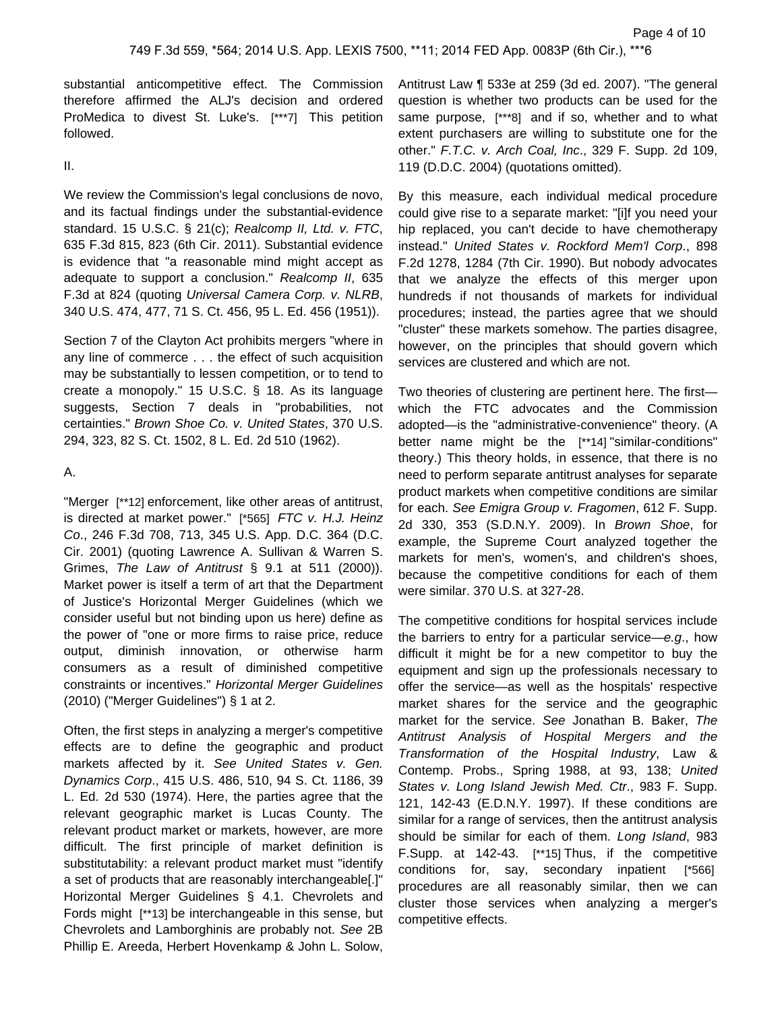substantial anticompetitive effect. The Commission therefore affirmed the ALJ's decision and ordered ProMedica to divest St. Luke's. [\*\*\*7] This petition followed.

#### II.

We review the Commission's legal conclusions de novo, and its factual findings under the substantial-evidence standard. 15 U.S.C. § 21(c); Realcomp II, Ltd. v. FTC, 635 F.3d 815, 823 (6th Cir. 2011). Substantial evidence is evidence that "a reasonable mind might accept as adequate to support a conclusion." Realcomp II, 635 F.3d at 824 (quoting Universal Camera Corp. v. NLRB, 340 U.S. 474, 477, 71 S. Ct. 456, 95 L. Ed. 456 (1951)).

Section 7 of the Clayton Act prohibits mergers "where in any line of commerce . . . the effect of such acquisition may be substantially to lessen competition, or to tend to create a monopoly." 15 U.S.C. § 18. As its language suggests, Section 7 deals in "probabilities, not certainties." Brown Shoe Co. v. United States, 370 U.S. 294, 323, 82 S. Ct. 1502, 8 L. Ed. 2d 510 (1962).

#### A.

"Merger [\*\*12] enforcement, like other areas of antitrust, is directed at market power." [\*565] FTC v. H.J. Heinz Co., 246 F.3d 708, 713, 345 U.S. App. D.C. 364 (D.C. Cir. 2001) (quoting Lawrence A. Sullivan & Warren S. Grimes, The Law of Antitrust § 9.1 at 511 (2000)). Market power is itself a term of art that the Department of Justice's Horizontal Merger Guidelines (which we consider useful but not binding upon us here) define as the power of "one or more firms to raise price, reduce output, diminish innovation, or otherwise harm consumers as a result of diminished competitive constraints or incentives." Horizontal Merger Guidelines (2010) ("Merger Guidelines") § 1 at 2.

Often, the first steps in analyzing a merger's competitive effects are to define the geographic and product markets affected by it. See United States v. Gen. Dynamics Corp., 415 U.S. 486, 510, 94 S. Ct. 1186, 39 L. Ed. 2d 530 (1974). Here, the parties agree that the relevant geographic market is Lucas County. The relevant product market or markets, however, are more difficult. The first principle of market definition is substitutability: a relevant product market must "identify a set of products that are reasonably interchangeable[.]" Horizontal Merger Guidelines § 4.1. Chevrolets and Fords might [\*\*13] be interchangeable in this sense, but Chevrolets and Lamborghinis are probably not. See 2B Phillip E. Areeda, Herbert Hovenkamp & John L. Solow,

Antitrust Law ¶ 533e at 259 (3d ed. 2007). "The general question is whether two products can be used for the same purpose, [\*\*\*8] and if so, whether and to what extent purchasers are willing to substitute one for the other." F.T.C. v. Arch Coal, Inc., 329 F. Supp. 2d 109, 119 (D.D.C. 2004) (quotations omitted).

By this measure, each individual medical procedure could give rise to a separate market: "[i]f you need your hip replaced, you can't decide to have chemotherapy instead." United States v. Rockford Mem'l Corp., 898 F.2d 1278, 1284 (7th Cir. 1990). But nobody advocates that we analyze the effects of this merger upon hundreds if not thousands of markets for individual procedures; instead, the parties agree that we should "cluster" these markets somehow. The parties disagree, however, on the principles that should govern which services are clustered and which are not.

Two theories of clustering are pertinent here. The first which the FTC advocates and the Commission adopted—is the "administrative-convenience" theory. (A better name might be the [\*\*14] "similar-conditions" theory.) This theory holds, in essence, that there is no need to perform separate antitrust analyses for separate product markets when competitive conditions are similar for each. See Emigra Group v. Fragomen, 612 F. Supp. 2d 330, 353 (S.D.N.Y. 2009). In Brown Shoe, for example, the Supreme Court analyzed together the markets for men's, women's, and children's shoes, because the competitive conditions for each of them were similar. 370 U.S. at 327-28.

The competitive conditions for hospital services include the barriers to entry for a particular service—e.g., how difficult it might be for a new competitor to buy the equipment and sign up the professionals necessary to offer the service—as well as the hospitals' respective market shares for the service and the geographic market for the service. See Jonathan B. Baker, The Antitrust Analysis of Hospital Mergers and the Transformation of the Hospital Industry, Law & Contemp. Probs., Spring 1988, at 93, 138; United States v. Long Island Jewish Med. Ctr., 983 F. Supp. 121, 142-43 (E.D.N.Y. 1997). If these conditions are similar for a range of services, then the antitrust analysis should be similar for each of them. Long Island, 983 F.Supp. at 142-43. [\*\*15] Thus, if the competitive conditions for, say, secondary inpatient [\*566] procedures are all reasonably similar, then we can cluster those services when analyzing a merger's competitive effects.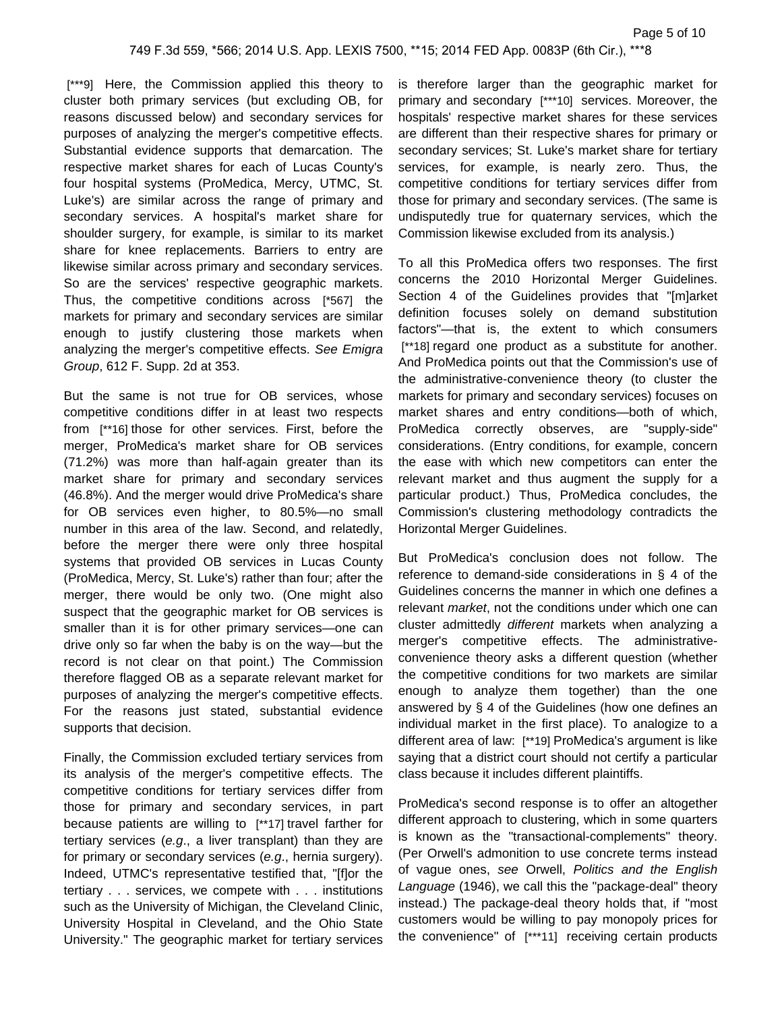[\*\*\*9] Here, the Commission applied this theory to cluster both primary services (but excluding OB, for reasons discussed below) and secondary services for purposes of analyzing the merger's competitive effects. Substantial evidence supports that demarcation. The respective market shares for each of Lucas County's four hospital systems (ProMedica, Mercy, UTMC, St. Luke's) are similar across the range of primary and secondary services. A hospital's market share for shoulder surgery, for example, is similar to its market share for knee replacements. Barriers to entry are likewise similar across primary and secondary services. So are the services' respective geographic markets. Thus, the competitive conditions across [\*567] the markets for primary and secondary services are similar enough to justify clustering those markets when analyzing the merger's competitive effects. See Emigra Group, 612 F. Supp. 2d at 353.

But the same is not true for OB services, whose competitive conditions differ in at least two respects from [\*\*16] those for other services. First, before the merger, ProMedica's market share for OB services (71.2%) was more than half-again greater than its market share for primary and secondary services (46.8%). And the merger would drive ProMedica's share for OB services even higher, to 80.5%—no small number in this area of the law. Second, and relatedly, before the merger there were only three hospital systems that provided OB services in Lucas County (ProMedica, Mercy, St. Luke's) rather than four; after the merger, there would be only two. (One might also suspect that the geographic market for OB services is smaller than it is for other primary services—one can drive only so far when the baby is on the way—but the record is not clear on that point.) The Commission therefore flagged OB as a separate relevant market for purposes of analyzing the merger's competitive effects. For the reasons just stated, substantial evidence supports that decision.

Finally, the Commission excluded tertiary services from its analysis of the merger's competitive effects. The competitive conditions for tertiary services differ from those for primary and secondary services, in part because patients are willing to [\*\*17] travel farther for tertiary services (e.g., a liver transplant) than they are for primary or secondary services (e.g., hernia surgery). Indeed, UTMC's representative testified that, "[f]or the tertiary . . . services, we compete with . . . institutions such as the University of Michigan, the Cleveland Clinic, University Hospital in Cleveland, and the Ohio State University." The geographic market for tertiary services

is therefore larger than the geographic market for primary and secondary [\*\*\*10] services. Moreover, the hospitals' respective market shares for these services are different than their respective shares for primary or secondary services; St. Luke's market share for tertiary services, for example, is nearly zero. Thus, the competitive conditions for tertiary services differ from those for primary and secondary services. (The same is undisputedly true for quaternary services, which the Commission likewise excluded from its analysis.)

To all this ProMedica offers two responses. The first concerns the 2010 Horizontal Merger Guidelines. Section 4 of the Guidelines provides that "[m]arket definition focuses solely on demand substitution factors"—that is, the extent to which consumers [\*\*18] regard one product as a substitute for another. And ProMedica points out that the Commission's use of the administrative-convenience theory (to cluster the markets for primary and secondary services) focuses on market shares and entry conditions—both of which, ProMedica correctly observes, are "supply-side" considerations. (Entry conditions, for example, concern the ease with which new competitors can enter the relevant market and thus augment the supply for a particular product.) Thus, ProMedica concludes, the Commission's clustering methodology contradicts the Horizontal Merger Guidelines.

But ProMedica's conclusion does not follow. The reference to demand-side considerations in § 4 of the Guidelines concerns the manner in which one defines a relevant market, not the conditions under which one can cluster admittedly different markets when analyzing a merger's competitive effects. The administrativeconvenience theory asks a different question (whether the competitive conditions for two markets are similar enough to analyze them together) than the one answered by § 4 of the Guidelines (how one defines an individual market in the first place). To analogize to a different area of law: [\*\*19] ProMedica's argument is like saying that a district court should not certify a particular class because it includes different plaintiffs.

ProMedica's second response is to offer an altogether different approach to clustering, which in some quarters is known as the "transactional-complements" theory. (Per Orwell's admonition to use concrete terms instead of vague ones, see Orwell, Politics and the English Language (1946), we call this the "package-deal" theory instead.) The package-deal theory holds that, if "most customers would be willing to pay monopoly prices for the convenience" of [\*\*\*11] receiving certain products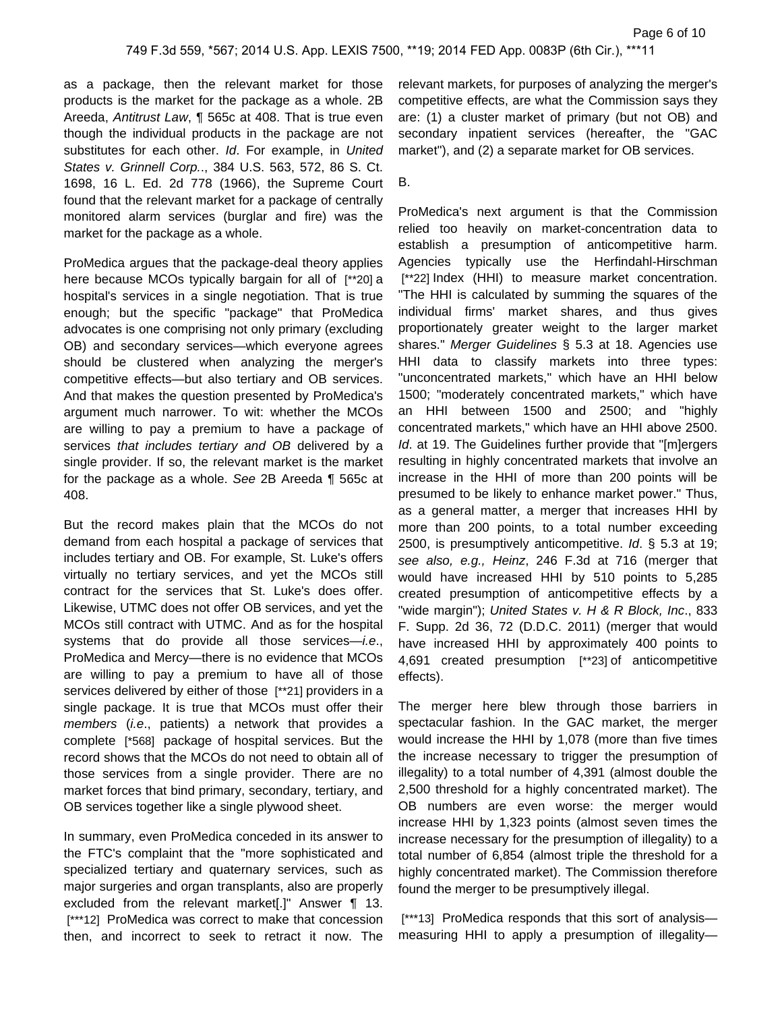as a package, then the relevant market for those products is the market for the package as a whole. 2B Areeda, Antitrust Law, ¶ 565c at 408. That is true even though the individual products in the package are not substitutes for each other. Id. For example, in United States v. Grinnell Corp.., 384 U.S. 563, 572, 86 S. Ct. 1698, 16 L. Ed. 2d 778 (1966), the Supreme Court found that the relevant market for a package of centrally monitored alarm services (burglar and fire) was the market for the package as a whole.

ProMedica argues that the package-deal theory applies here because MCOs typically bargain for all of [\*\*20] a hospital's services in a single negotiation. That is true enough; but the specific "package" that ProMedica advocates is one comprising not only primary (excluding OB) and secondary services—which everyone agrees should be clustered when analyzing the merger's competitive effects—but also tertiary and OB services. And that makes the question presented by ProMedica's argument much narrower. To wit: whether the MCOs are willing to pay a premium to have a package of services that includes tertiary and OB delivered by a single provider. If so, the relevant market is the market for the package as a whole. See 2B Areeda ¶ 565c at 408.

But the record makes plain that the MCOs do not demand from each hospital a package of services that includes tertiary and OB. For example, St. Luke's offers virtually no tertiary services, and yet the MCOs still contract for the services that St. Luke's does offer. Likewise, UTMC does not offer OB services, and yet the MCOs still contract with UTMC. And as for the hospital systems that do provide all those services-i.e., ProMedica and Mercy—there is no evidence that MCOs are willing to pay a premium to have all of those services delivered by either of those [\*\*21] providers in a single package. It is true that MCOs must offer their members (i.e., patients) a network that provides a complete [\*568] package of hospital services. But the record shows that the MCOs do not need to obtain all of those services from a single provider. There are no market forces that bind primary, secondary, tertiary, and OB services together like a single plywood sheet.

In summary, even ProMedica conceded in its answer to the FTC's complaint that the "more sophisticated and specialized tertiary and quaternary services, such as major surgeries and organ transplants, also are properly excluded from the relevant market[.]" Answer ¶ 13. [\*\*\*12] ProMedica was correct to make that concession then, and incorrect to seek to retract it now. The

relevant markets, for purposes of analyzing the merger's competitive effects, are what the Commission says they are: (1) a cluster market of primary (but not OB) and secondary inpatient services (hereafter, the "GAC market"), and (2) a separate market for OB services.

#### B.

ProMedica's next argument is that the Commission relied too heavily on market-concentration data to establish a presumption of anticompetitive harm. Agencies typically use the Herfindahl-Hirschman [\*\*22] Index (HHI) to measure market concentration. "The HHI is calculated by summing the squares of the individual firms' market shares, and thus gives proportionately greater weight to the larger market shares." Merger Guidelines § 5.3 at 18. Agencies use HHI data to classify markets into three types: "unconcentrated markets," which have an HHI below 1500; "moderately concentrated markets," which have an HHI between 1500 and 2500; and "highly concentrated markets," which have an HHI above 2500. Id. at 19. The Guidelines further provide that "[m]ergers resulting in highly concentrated markets that involve an increase in the HHI of more than 200 points will be presumed to be likely to enhance market power." Thus, as a general matter, a merger that increases HHI by more than 200 points, to a total number exceeding 2500, is presumptively anticompetitive. Id. § 5.3 at 19; see also, e.g., Heinz, 246 F.3d at 716 (merger that would have increased HHI by 510 points to 5,285 created presumption of anticompetitive effects by a "wide margin"); United States v. H & R Block, Inc., 833 F. Supp. 2d 36, 72 (D.D.C. 2011) (merger that would have increased HHI by approximately 400 points to 4,691 created presumption [\*\*23] of anticompetitive effects).

The merger here blew through those barriers in spectacular fashion. In the GAC market, the merger would increase the HHI by 1,078 (more than five times the increase necessary to trigger the presumption of illegality) to a total number of 4,391 (almost double the 2,500 threshold for a highly concentrated market). The OB numbers are even worse: the merger would increase HHI by 1,323 points (almost seven times the increase necessary for the presumption of illegality) to a total number of 6,854 (almost triple the threshold for a highly concentrated market). The Commission therefore found the merger to be presumptively illegal.

[\*\*\*13] ProMedica responds that this sort of analysismeasuring HHI to apply a presumption of illegality—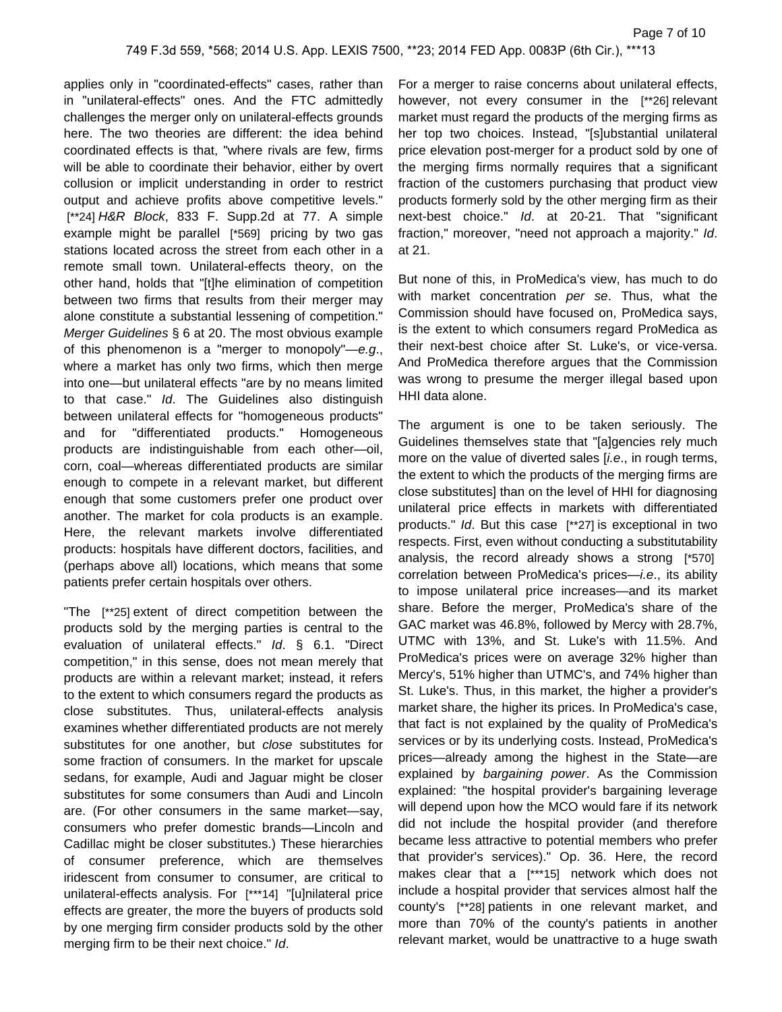applies only in "coordinated-effects" cases, rather than in "unilateral-effects" ones. And the FTC admittedly challenges the merger only on unilateral-effects grounds here. The two theories are different: the idea behind coordinated effects is that, "where rivals are few, firms will be able to coordinate their behavior, either by overt collusion or implicit understanding in order to restrict output and achieve profits above competitive levels." [\*\*24] H&R Block, 833 F. Supp.2d at 77. A simple example might be parallel [\*569] pricing by two gas stations located across the street from each other in a remote small town. Unilateral-effects theory, on the other hand, holds that "[t]he elimination of competition between two firms that results from their merger may alone constitute a substantial lessening of competition." Merger Guidelines § 6 at 20. The most obvious example of this phenomenon is a "merger to monopoly"—e.g., where a market has only two firms, which then merge into one—but unilateral effects "are by no means limited to that case." Id. The Guidelines also distinguish between unilateral effects for "homogeneous products" and for "differentiated products." Homogeneous products are indistinguishable from each other—oil, corn, coal—whereas differentiated products are similar enough to compete in a relevant market, but different enough that some customers prefer one product over another. The market for cola products is an example. Here, the relevant markets involve differentiated products: hospitals have different doctors, facilities, and (perhaps above all) locations, which means that some patients prefer certain hospitals over others.

"The [\*\*25] extent of direct competition between the products sold by the merging parties is central to the evaluation of unilateral effects." Id. § 6.1. "Direct competition," in this sense, does not mean merely that products are within a relevant market; instead, it refers to the extent to which consumers regard the products as close substitutes. Thus, unilateral-effects analysis examines whether differentiated products are not merely substitutes for one another, but close substitutes for some fraction of consumers. In the market for upscale sedans, for example, Audi and Jaguar might be closer substitutes for some consumers than Audi and Lincoln are. (For other consumers in the same market—say, consumers who prefer domestic brands—Lincoln and Cadillac might be closer substitutes.) These hierarchies of consumer preference, which are themselves iridescent from consumer to consumer, are critical to unilateral-effects analysis. For [\*\*\*14] "[u]nilateral price effects are greater, the more the buyers of products sold by one merging firm consider products sold by the other merging firm to be their next choice." Id.

For a merger to raise concerns about unilateral effects, however, not every consumer in the [\*\*26] relevant market must regard the products of the merging firms as her top two choices. Instead, "[s]ubstantial unilateral price elevation post-merger for a product sold by one of the merging firms normally requires that a significant fraction of the customers purchasing that product view products formerly sold by the other merging firm as their next-best choice." Id. at 20-21. That "significant fraction," moreover, "need not approach a majority." Id. at 21.

But none of this, in ProMedica's view, has much to do with market concentration per se. Thus, what the Commission should have focused on, ProMedica says, is the extent to which consumers regard ProMedica as their next-best choice after St. Luke's, or vice-versa. And ProMedica therefore argues that the Commission was wrong to presume the merger illegal based upon HHI data alone.

The argument is one to be taken seriously. The Guidelines themselves state that "[a]gencies rely much more on the value of diverted sales [*i.e.*, in rough terms, the extent to which the products of the merging firms are close substitutes] than on the level of HHI for diagnosing unilateral price effects in markets with differentiated products." Id. But this case [\*\*27] is exceptional in two respects. First, even without conducting a substitutability analysis, the record already shows a strong [\*570] correlation between ProMedica's prices-*i.e.*, its ability to impose unilateral price increases—and its market share. Before the merger, ProMedica's share of the GAC market was 46.8%, followed by Mercy with 28.7%, UTMC with 13%, and St. Luke's with 11.5%. And ProMedica's prices were on average 32% higher than Mercy's, 51% higher than UTMC's, and 74% higher than St. Luke's. Thus, in this market, the higher a provider's market share, the higher its prices. In ProMedica's case, that fact is not explained by the quality of ProMedica's services or by its underlying costs. Instead, ProMedica's prices—already among the highest in the State—are explained by bargaining power. As the Commission explained: "the hospital provider's bargaining leverage will depend upon how the MCO would fare if its network did not include the hospital provider (and therefore became less attractive to potential members who prefer that provider's services)." Op. 36. Here, the record makes clear that a [\*\*\*15] network which does not include a hospital provider that services almost half the county's [\*\*28] patients in one relevant market, and more than 70% of the county's patients in another relevant market, would be unattractive to a huge swath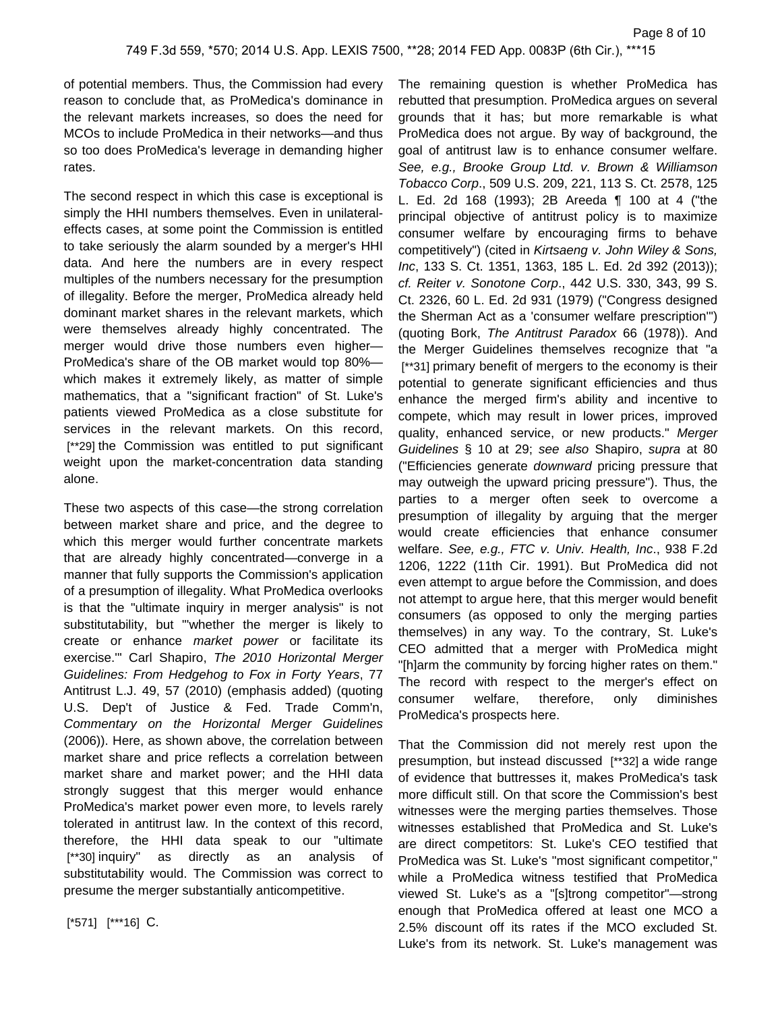of potential members. Thus, the Commission had every reason to conclude that, as ProMedica's dominance in the relevant markets increases, so does the need for MCOs to include ProMedica in their networks—and thus so too does ProMedica's leverage in demanding higher rates.

The second respect in which this case is exceptional is simply the HHI numbers themselves. Even in unilateraleffects cases, at some point the Commission is entitled to take seriously the alarm sounded by a merger's HHI data. And here the numbers are in every respect multiples of the numbers necessary for the presumption of illegality. Before the merger, ProMedica already held dominant market shares in the relevant markets, which were themselves already highly concentrated. The merger would drive those numbers even higher— ProMedica's share of the OB market would top 80% which makes it extremely likely, as matter of simple mathematics, that a "significant fraction" of St. Luke's patients viewed ProMedica as a close substitute for services in the relevant markets. On this record, [\*\*29] the Commission was entitled to put significant weight upon the market-concentration data standing alone.

These two aspects of this case—the strong correlation between market share and price, and the degree to which this merger would further concentrate markets that are already highly concentrated—converge in a manner that fully supports the Commission's application of a presumption of illegality. What ProMedica overlooks is that the "ultimate inquiry in merger analysis" is not substitutability, but "'whether the merger is likely to create or enhance market power or facilitate its exercise.'" Carl Shapiro, The 2010 Horizontal Merger Guidelines: From Hedgehog to Fox in Forty Years, 77 Antitrust L.J. 49, 57 (2010) (emphasis added) (quoting U.S. Dep't of Justice & Fed. Trade Comm'n, Commentary on the Horizontal Merger Guidelines (2006)). Here, as shown above, the correlation between market share and price reflects a correlation between market share and market power; and the HHI data strongly suggest that this merger would enhance ProMedica's market power even more, to levels rarely tolerated in antitrust law. In the context of this record, therefore, the HHI data speak to our "ultimate [\*\*30] inquiry" as directly as an analysis of substitutability would. The Commission was correct to presume the merger substantially anticompetitive.

ProMedica does not argue. By way of background, the goal of antitrust law is to enhance consumer welfare. See, e.g., Brooke Group Ltd. v. Brown & Williamson Tobacco Corp., 509 U.S. 209, 221, 113 S. Ct. 2578, 125 L. Ed. 2d 168 (1993); 2B Areeda ¶ 100 at 4 ("the principal objective of antitrust policy is to maximize consumer welfare by encouraging firms to behave competitively") (cited in Kirtsaeng v. John Wiley & Sons, Inc, 133 S. Ct. 1351, 1363, 185 L. Ed. 2d 392 (2013)); cf. Reiter v. Sonotone Corp., 442 U.S. 330, 343, 99 S. Ct. 2326, 60 L. Ed. 2d 931 (1979) ("Congress designed the Sherman Act as a 'consumer welfare prescription'") (quoting Bork, The Antitrust Paradox 66 (1978)). And the Merger Guidelines themselves recognize that "a [\*\*31] primary benefit of mergers to the economy is their potential to generate significant efficiencies and thus enhance the merged firm's ability and incentive to compete, which may result in lower prices, improved quality, enhanced service, or new products." Merger Guidelines § 10 at 29; see also Shapiro, supra at 80 ("Efficiencies generate downward pricing pressure that may outweigh the upward pricing pressure"). Thus, the parties to a merger often seek to overcome a presumption of illegality by arguing that the merger would create efficiencies that enhance consumer welfare. See, e.g., FTC v. Univ. Health, Inc., 938 F.2d 1206, 1222 (11th Cir. 1991). But ProMedica did not even attempt to argue before the Commission, and does not attempt to argue here, that this merger would benefit consumers (as opposed to only the merging parties themselves) in any way. To the contrary, St. Luke's CEO admitted that a merger with ProMedica might "[h]arm the community by forcing higher rates on them." The record with respect to the merger's effect on consumer welfare, therefore, only diminishes ProMedica's prospects here.

The remaining question is whether ProMedica has rebutted that presumption. ProMedica argues on several grounds that it has; but more remarkable is what

That the Commission did not merely rest upon the presumption, but instead discussed [\*\*32] a wide range of evidence that buttresses it, makes ProMedica's task more difficult still. On that score the Commission's best witnesses were the merging parties themselves. Those witnesses established that ProMedica and St. Luke's are direct competitors: St. Luke's CEO testified that ProMedica was St. Luke's "most significant competitor," while a ProMedica witness testified that ProMedica viewed St. Luke's as a "[s]trong competitor"—strong enough that ProMedica offered at least one MCO a 2.5% discount off its rates if the MCO excluded St. Luke's from its network. St. Luke's management was

[\*571] [\*\*\*16] C.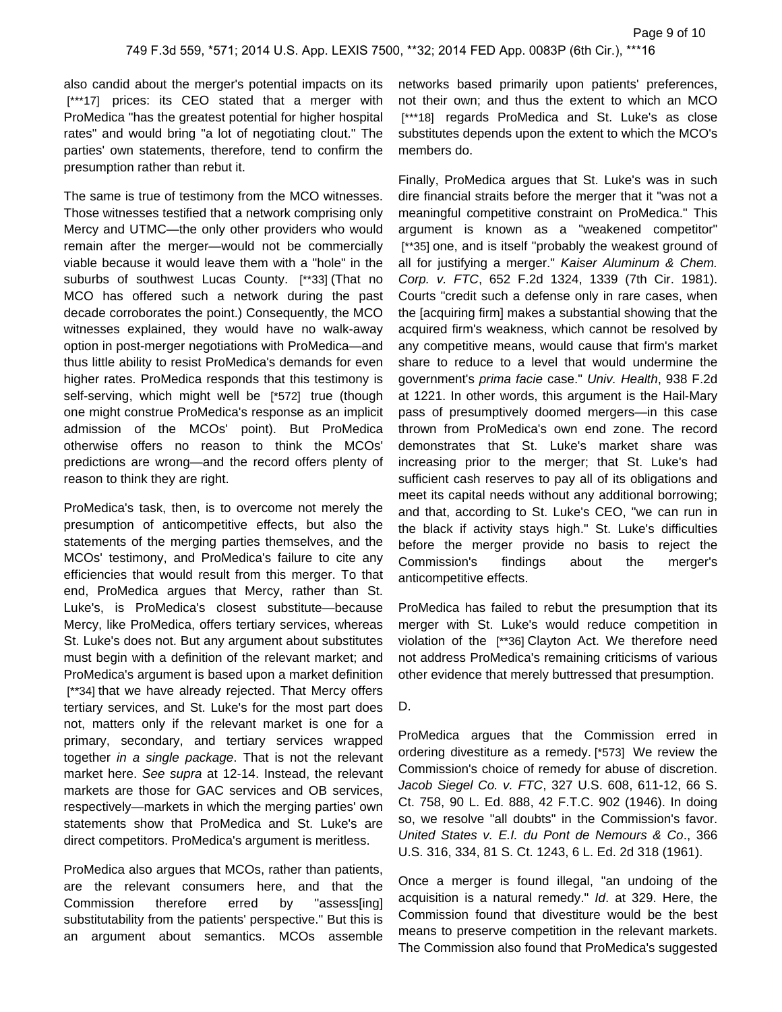also candid about the merger's potential impacts on its [\*\*\*17] prices: its CEO stated that a merger with ProMedica "has the greatest potential for higher hospital rates" and would bring "a lot of negotiating clout." The parties' own statements, therefore, tend to confirm the presumption rather than rebut it.

The same is true of testimony from the MCO witnesses. Those witnesses testified that a network comprising only Mercy and UTMC—the only other providers who would remain after the merger—would not be commercially viable because it would leave them with a "hole" in the suburbs of southwest Lucas County. [\*\*33] (That no MCO has offered such a network during the past decade corroborates the point.) Consequently, the MCO witnesses explained, they would have no walk-away option in post-merger negotiations with ProMedica—and thus little ability to resist ProMedica's demands for even higher rates. ProMedica responds that this testimony is self-serving, which might well be [\*572] true (though one might construe ProMedica's response as an implicit admission of the MCOs' point). But ProMedica otherwise offers no reason to think the MCOs' predictions are wrong—and the record offers plenty of reason to think they are right.

ProMedica's task, then, is to overcome not merely the presumption of anticompetitive effects, but also the statements of the merging parties themselves, and the MCOs' testimony, and ProMedica's failure to cite any efficiencies that would result from this merger. To that end, ProMedica argues that Mercy, rather than St. Luke's, is ProMedica's closest substitute—because Mercy, like ProMedica, offers tertiary services, whereas St. Luke's does not. But any argument about substitutes must begin with a definition of the relevant market; and ProMedica's argument is based upon a market definition [\*\*34] that we have already rejected. That Mercy offers tertiary services, and St. Luke's for the most part does not, matters only if the relevant market is one for a primary, secondary, and tertiary services wrapped together in a single package. That is not the relevant market here. See supra at 12-14. Instead, the relevant markets are those for GAC services and OB services, respectively—markets in which the merging parties' own statements show that ProMedica and St. Luke's are direct competitors. ProMedica's argument is meritless.

ProMedica also argues that MCOs, rather than patients, are the relevant consumers here, and that the Commission therefore erred by "assess[ing] substitutability from the patients' perspective." But this is an argument about semantics. MCOs assemble networks based primarily upon patients' preferences, not their own; and thus the extent to which an MCO [\*\*\*18] regards ProMedica and St. Luke's as close substitutes depends upon the extent to which the MCO's members do.

Finally, ProMedica argues that St. Luke's was in such dire financial straits before the merger that it "was not a meaningful competitive constraint on ProMedica." This argument is known as a "weakened competitor" [\*\*35] one, and is itself "probably the weakest ground of all for justifying a merger." Kaiser Aluminum & Chem. Corp. v. FTC, 652 F.2d 1324, 1339 (7th Cir. 1981). Courts "credit such a defense only in rare cases, when the [acquiring firm] makes a substantial showing that the acquired firm's weakness, which cannot be resolved by any competitive means, would cause that firm's market share to reduce to a level that would undermine the government's prima facie case." Univ. Health, 938 F.2d at 1221. In other words, this argument is the Hail-Mary pass of presumptively doomed mergers—in this case thrown from ProMedica's own end zone. The record demonstrates that St. Luke's market share was increasing prior to the merger; that St. Luke's had sufficient cash reserves to pay all of its obligations and meet its capital needs without any additional borrowing; and that, according to St. Luke's CEO, "we can run in the black if activity stays high." St. Luke's difficulties before the merger provide no basis to reject the Commission's findings about the merger's anticompetitive effects.

ProMedica has failed to rebut the presumption that its merger with St. Luke's would reduce competition in violation of the [\*\*36] Clayton Act. We therefore need not address ProMedica's remaining criticisms of various other evidence that merely buttressed that presumption.

### D.

ProMedica argues that the Commission erred in ordering divestiture as a remedy. [\*573] We review the Commission's choice of remedy for abuse of discretion. Jacob Siegel Co. v. FTC, 327 U.S. 608, 611-12, 66 S. Ct. 758, 90 L. Ed. 888, 42 F.T.C. 902 (1946). In doing so, we resolve "all doubts" in the Commission's favor. United States v. E.I. du Pont de Nemours & Co., 366 U.S. 316, 334, 81 S. Ct. 1243, 6 L. Ed. 2d 318 (1961).

Once a merger is found illegal, "an undoing of the acquisition is a natural remedy." Id. at 329. Here, the Commission found that divestiture would be the best means to preserve competition in the relevant markets. The Commission also found that ProMedica's suggested